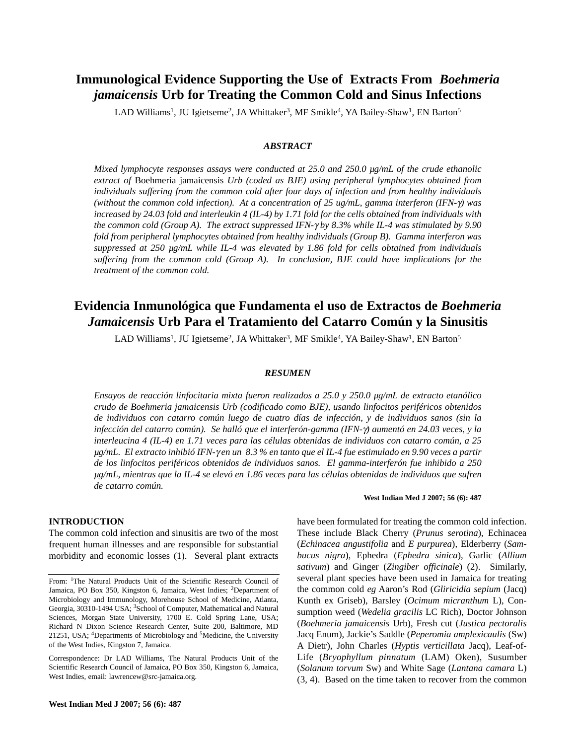# **Immunological Evidence Supporting the Use of Extracts From** *Boehmeria jamaicensis* **Urb for Treating the Common Cold and Sinus Infections**

LAD Williams<sup>1</sup>, JU Igietseme<sup>2</sup>, JA Whittaker<sup>3</sup>, MF Smikle<sup>4</sup>, YA Bailey-Shaw<sup>1</sup>, EN Barton<sup>5</sup>

## *ABSTRACT*

*Mixed lymphocyte responses assays were conducted at 25.0 and 250.0 µg/mL of the crude ethanolic extract of* Boehmeria jamaicensis *Urb (coded as BJE) using peripheral lymphocytes obtained from individuals suffering from the common cold after four days of infection and from healthy individuals (without the common cold infection). At a concentration of 25 ug/mL, gamma interferon (IFN-*γ*) was increased by 24.03 fold and interleukin 4 (IL-4) by 1.71 fold for the cells obtained from individuals with the common cold (Group A). The extract suppressed IFN-*γ *by 8.3% while IL-4 was stimulated by 9.90 fold from peripheral lymphocytes obtained from healthy individuals (Group B). Gamma interferon was suppressed at 250 µg/mL while IL-4 was elevated by 1.86 fold for cells obtained from individuals suffering from the common cold (Group A). In conclusion, BJE could have implications for the treatment of the common cold.*

# **Evidencia Inmunológica que Fundamenta el uso de Extractos de** *Boehmeria Jamaicensis* **Urb Para el Tratamiento del Catarro Común y la Sinusitis**

LAD Williams<sup>1</sup>, JU Igietseme<sup>2</sup>, JA Whittaker<sup>3</sup>, MF Smikle<sup>4</sup>, YA Bailey-Shaw<sup>1</sup>, EN Barton<sup>5</sup>

### *RESUMEN*

*Ensayos de reacción linfocitaria mixta fueron realizados a 25.0 y 250.0 µg/mL de extracto etanólico crudo de Boehmeria jamaicensis Urb (codificado como BJE), usando linfocitos periféricos obtenidos de individuos con catarro común luego de cuatro días de infección, y de individuos sanos (sin la infección del catarro común). Se halló que el interferón-gamma (IFN-*γ*) aumentó en 24.03 veces, y la interleucina 4 (IL-4) en 1.71 veces para las células obtenidas de individuos con catarro común, a 25 µg/mL. El extracto inhibió IFN-*γ *en un 8.3 % en tanto que el IL-4 fue estimulado en 9.90 veces a partir de los linfocitos periféricos obtenidos de individuos sanos. El gamma-interferón fue inhibido a 250 µg/mL, mientras que la IL-4 se elevó en 1.86 veces para las células obtenidas de individuos que sufren de catarro común.* 

## **INTRODUCTION**

The common cold infection and sinusitis are two of the most frequent human illnesses and are responsible for substantial morbidity and economic losses (1). Several plant extracts **West Indian Med J 2007; 56 (6): 487**

have been formulated for treating the common cold infection. These include Black Cherry (*Prunus serotina*), Echinacea (*Echinacea angustifolia* and *E purpurea*), Elderberry (*Sambucus nigra*), Ephedra (*Ephedra sinica*), Garlic (*Allium sativum*) and Ginger (*Zingiber officinale*) (2). Similarly, several plant species have been used in Jamaica for treating the common cold *eg* Aaron's Rod (*Gliricidia sepium* (Jacq) Kunth ex Griseb), Barsley (*Ocimum micranthum* L), Consumption weed (*Wedelia gracilis* LC Rich), Doctor Johnson (*Boehmeria jamaicensis* Urb), Fresh cut (*Justica pectoralis* Jacq Enum), Jackie's Saddle (*Peperomia amplexicaulis* (Sw) A Dietr), John Charles (*Hyptis verticillata* Jacq), Leaf-of-Life (*Bryophyllum pinnatum* (LAM) Oken), Susumber (*Solanum torvum* Sw) and White Sage (*Lantana camara* L) (3, 4). Based on the time taken to recover from the common

From: <sup>1</sup>The Natural Products Unit of the Scientific Research Council of Jamaica, PO Box 350, Kingston 6, Jamaica, West Indies; <sup>2</sup>Department of Microbiology and Immunology, Morehouse School of Medicine, Atlanta, Georgia, 30310-1494 USA; <sup>3</sup>School of Computer, Mathematical and Natural Sciences, Morgan State University, 1700 E. Cold Spring Lane, USA; Richard N Dixon Science Research Center, Suite 200, Baltimore, MD 21251, USA; 4Departments of Microbiology and 5Medicine, the University of the West Indies, Kingston 7, Jamaica.

Correspondence: Dr LAD Williams, The Natural Products Unit of the Scientific Research Council of Jamaica, PO Box 350, Kingston 6, Jamaica, West Indies, email: lawrencew@src-jamaica.org.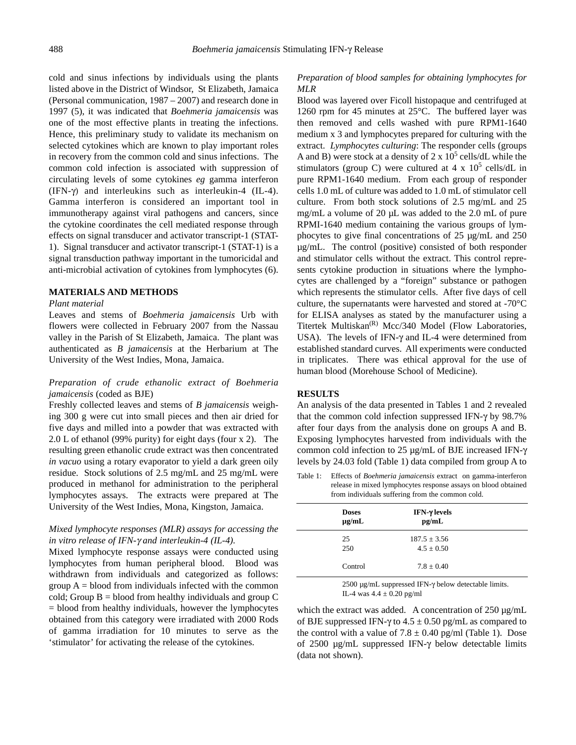cold and sinus infections by individuals using the plants listed above in the District of Windsor, St Elizabeth, Jamaica (Personal communication, 1987 – 2007) and research done in 1997 (5), it was indicated that *Boehmeria jamaicensis* was one of the most effective plants in treating the infections. Hence, this preliminary study to validate its mechanism on selected cytokines which are known to play important roles in recovery from the common cold and sinus infections. The common cold infection is associated with suppression of circulating levels of some cytokines *eg* gamma interferon (IFN-γ) and interleukins such as interleukin-4 (IL-4). Gamma interferon is considered an important tool in immunotherapy against viral pathogens and cancers, since the cytokine coordinates the cell mediated response through effects on signal transducer and activator transcript-1 (STAT-1). Signal transducer and activator transcript-1 (STAT-1) is a signal transduction pathway important in the tumoricidal and anti-microbial activation of cytokines from lymphocytes (6).

#### **MATERIALS AND METHODS**

#### *Plant material*

Leaves and stems of *Boehmeria jamaicensis* Urb with flowers were collected in February 2007 from the Nassau valley in the Parish of St Elizabeth, Jamaica. The plant was authenticated as *B jamaicensis* at the Herbarium at The University of the West Indies, Mona, Jamaica.

# *Preparation of crude ethanolic extract of Boehmeria jamaicensis* (coded as BJE)

Freshly collected leaves and stems of *B jamaicensis* weighing 300 g were cut into small pieces and then air dried for five days and milled into a powder that was extracted with 2.0 L of ethanol (99% purity) for eight days (four x 2). The resulting green ethanolic crude extract was then concentrated *in vacuo* using a rotary evaporator to yield a dark green oily residue. Stock solutions of 2.5 mg/mL and 25 mg/mL were produced in methanol for administration to the peripheral lymphocytes assays. The extracts were prepared at The University of the West Indies, Mona, Kingston, Jamaica.

## *Mixed lymphocyte responses (MLR) assays for accessing the in vitro release of IFN-*γ *and interleukin-4 (IL-4).*

Mixed lymphocyte response assays were conducted using lymphocytes from human peripheral blood. Blood was withdrawn from individuals and categorized as follows: group  $A =$  blood from individuals infected with the common cold; Group  $B =$  blood from healthy individuals and group C = blood from healthy individuals, however the lymphocytes obtained from this category were irradiated with 2000 Rods of gamma irradiation for 10 minutes to serve as the 'stimulator' for activating the release of the cytokines.

# *Preparation of blood samples for obtaining lymphocytes for MLR*

Blood was layered over Ficoll histopaque and centrifuged at 1260 rpm for 45 minutes at 25°C. The buffered layer was then removed and cells washed with pure RPM1-1640 medium x 3 and lymphocytes prepared for culturing with the extract. *Lymphocytes culturing*: The responder cells (groups A and B) were stock at a density of  $2 \times 10^5$  cells/dL while the stimulators (group C) were cultured at  $4 \times 10^5$  cells/dL in pure RPM1-1640 medium. From each group of responder cells 1.0 mL of culture was added to 1.0 mL of stimulator cell culture. From both stock solutions of 2.5 mg/mL and 25 mg/mL a volume of 20 µL was added to the 2.0 mL of pure RPMI-1640 medium containing the various groups of lymphocytes to give final concentrations of 25 µg/mL and 250 µg/mL. The control (positive) consisted of both responder and stimulator cells without the extract. This control represents cytokine production in situations where the lymphocytes are challenged by a "foreign" substance or pathogen which represents the stimulator cells. After five days of cell culture, the supernatants were harvested and stored at -70°C for ELISA analyses as stated by the manufacturer using a Titertek Multiskan<sup>(R)</sup> Mcc/340 Model (Flow Laboratories, USA). The levels of IFN-γ and IL-4 were determined from established standard curves. All experiments were conducted in triplicates. There was ethical approval for the use of human blood (Morehouse School of Medicine).

#### **RESULTS**

An analysis of the data presented in Tables 1 and 2 revealed that the common cold infection suppressed IFN-γ by 98.7% after four days from the analysis done on groups A and B. Exposing lymphocytes harvested from individuals with the common cold infection to 25 µg/mL of BJE increased IFN-γ levels by 24.03 fold (Table 1) data compiled from group A to

Table 1: Effects of *Boehmeria jamaicensis* extract on gamma-interferon release in mixed lymphocytes response assays on blood obtained from individuals suffering from the common cold.

| <b>Doses</b><br>$\mu$ g/mL | IFN-γ levels<br>pg/mL              |  |
|----------------------------|------------------------------------|--|
| 25<br>250                  | $187.5 \pm 3.56$<br>$4.5 \pm 0.50$ |  |
| Control                    | $7.8 \pm 0.40$                     |  |

2500 µg/mL suppressed IFN-γ below detectable limits. IL-4 was 4.4 ± 0.20 pg/ml

which the extract was added. A concentration of 250 µg/mL of BJE suppressed IFN- $\gamma$  to 4.5  $\pm$  0.50 pg/mL as compared to the control with a value of  $7.8 \pm 0.40$  pg/ml (Table 1). Dose of 2500 µg/mL suppressed IFN-γ below detectable limits (data not shown).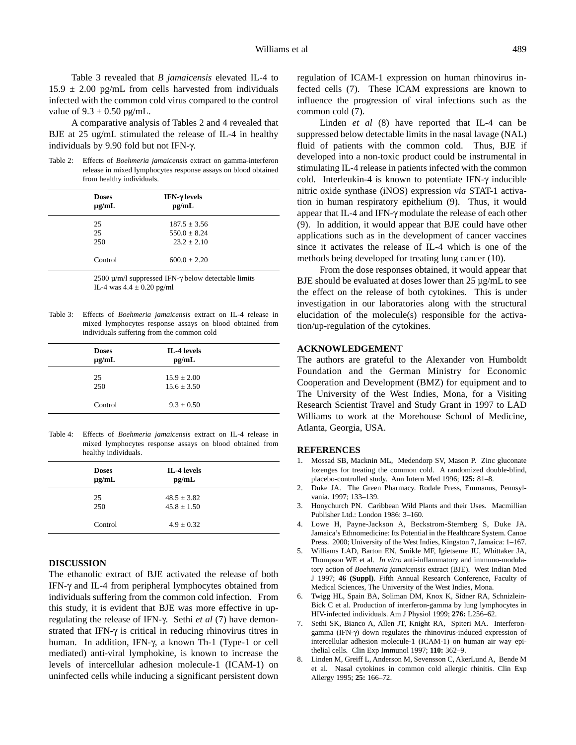A comparative analysis of Tables 2 and 4 revealed that BJE at 25 ug/mL stimulated the release of IL-4 in healthy individuals by 9.90 fold but not IFN-γ.

Table 2: Effects of *Boehmeria jamaicensis* extract on gamma-interferon release in mixed lymphocytes response assays on blood obtained from healthy individuals.

| <b>Doses</b><br>$\mu$ g/mL | IFN-γ levels<br>pg/mL |
|----------------------------|-----------------------|
| 25                         | $187.5 \pm 3.56$      |
| 25                         | $550.0 + 8.24$        |
| 250                        | $23.2 \pm 2.10$       |
| Control                    | $600.0 \pm 2.20$      |

2500  $\mu$ /m/l suppressed IFN- $\gamma$  below detectable limits IL-4 was  $4.4 \pm 0.20$  pg/ml

Table 3: Effects of *Boehmeria jamaicensis* extract on IL-4 release in mixed lymphocytes response assays on blood obtained from individuals suffering from the common cold

| <b>Doses</b><br>$\mu$ g/mL | IL-4 levels<br>pg/mL               |  |
|----------------------------|------------------------------------|--|
| 25<br>250                  | $15.9 \pm 2.00$<br>$15.6 \pm 3.50$ |  |
| Control                    | $9.3 \pm 0.50$                     |  |

Table 4: Effects of *Boehmeria jamaicensis* extract on IL-4 release in mixed lymphocytes response assays on blood obtained from healthy individuals.

| <b>Doses</b><br>$\mu$ g/mL | IL-4 levels<br>pg/mL               |  |
|----------------------------|------------------------------------|--|
| 25<br>250                  | $48.5 \pm 3.82$<br>$45.8 \pm 1.50$ |  |
| Control                    | $4.9 \pm 0.32$                     |  |

## **DISCUSSION**

The ethanolic extract of BJE activated the release of both IFN-γ and IL-4 from peripheral lymphocytes obtained from individuals suffering from the common cold infection. From this study, it is evident that BJE was more effective in upregulating the release of IFN-γ. Sethi *et al* (7) have demonstrated that IFN-γ is critical in reducing rhinovirus titres in human. In addition, IFN-γ, a known Th-1 (Type-1 or cell mediated) anti-viral lymphokine, is known to increase the levels of intercellular adhesion molecule-1 (ICAM-1) on uninfected cells while inducing a significant persistent down regulation of ICAM-1 expression on human rhinovirus infected cells (7). These ICAM expressions are known to influence the progression of viral infections such as the common cold (7).

Linden *et al* (8) have reported that IL-4 can be suppressed below detectable limits in the nasal lavage (NAL) fluid of patients with the common cold. Thus, BJE if developed into a non-toxic product could be instrumental in stimulating IL-4 release in patients infected with the common cold. Interleukin-4 is known to potentiate IFN-γ inducible nitric oxide synthase (iNOS) expression *via* STAT-1 activation in human respiratory epithelium (9). Thus, it would appear that IL-4 and IFN-γ modulate the release of each other (9). In addition, it would appear that BJE could have other applications such as in the development of cancer vaccines since it activates the release of IL-4 which is one of the methods being developed for treating lung cancer (10).

From the dose responses obtained, it would appear that BJE should be evaluated at doses lower than 25  $\mu$ g/mL to see the effect on the release of both cytokines. This is under investigation in our laboratories along with the structural elucidation of the molecule(s) responsible for the activation/up-regulation of the cytokines.

### **ACKNOWLEDGEMENT**

The authors are grateful to the Alexander von Humboldt Foundation and the German Ministry for Economic Cooperation and Development (BMZ) for equipment and to The University of the West Indies, Mona, for a Visiting Research Scientist Travel and Study Grant in 1997 to LAD Williams to work at the Morehouse School of Medicine, Atlanta, Georgia, USA.

#### **REFERENCES**

- 1. Mossad SB, Macknin ML, Medendorp SV, Mason P. Zinc gluconate lozenges for treating the common cold. A randomized double-blind, placebo-controlled study. Ann Intern Med 1996; **125:** 81–8.
- 2. Duke JA. The Green Pharmacy. Rodale Press, Emmanus, Pennsylvania. 1997; 133–139.
- 3. Honychurch PN. Caribbean Wild Plants and their Uses. Macmillian Publisher Ltd.: London 1986: 3–160.
- 4. Lowe H, Payne-Jackson A, Beckstrom-Sternberg S, Duke JA. Jamaica's Ethnomedicine: Its Potential in the Healthcare System. Canoe Press. 2000; University of the West Indies, Kingston 7, Jamaica: 1–167.
- 5. Williams LAD, Barton EN, Smikle MF, Igietseme JU, Whittaker JA, Thompson WE et al. *In vitro* anti-inflammatory and immuno-modulatory action of *Boehmeria jamaicensis* extract (BJE). West Indian Med J 1997; **46 (Suppl)**. Fifth Annual Research Conference, Faculty of Medical Sciences, The University of the West Indies, Mona.
- 6. Twigg HL, Spain BA, Soliman DM, Knox K, Sidner RA, Schnizlein-Bick C et al. Production of interferon-gamma by lung lymphocytes in HIV-infected individuals. Am J Physiol 1999; **276:** L256–62.
- 7. Sethi SK, Bianco A, Allen JT, Knight RA, Spiteri MA. Interferongamma (IFN-γ) down regulates the rhinovirus-induced expression of intercellular adhesion molecule-1 (ICAM-1) on human air way epithelial cells. Clin Exp Immunol 1997; **110:** 362–9.
- 8. Linden M, Greiff L, Anderson M, Sevensson C, AkerLund A, Bende M et al. Nasal cytokines in common cold allergic rhinitis. Clin Exp Allergy 1995; **25:** 166–72.